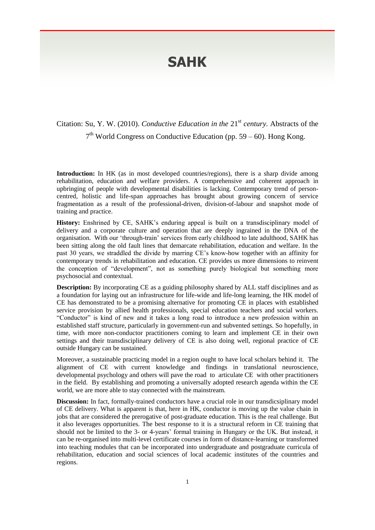## **SAHK**

Citation: Su, Y. W. (2010). *Conductive Education in the* 21<sup>st</sup> *century*. Abstracts of the 7<sup>th</sup> World Congress on Conductive Education (pp. 59 – 60). Hong Kong.

**Introduction:** In HK (as in most developed countries/regions), there is a sharp divide among rehabilitation, education and welfare providers. A comprehensive and coherent approach in upbringing of people with developmental disabilities is lacking. Contemporary trend of personcentred, holistic and life-span approaches has brought about growing concern of service fragmentation as a result of the professional-driven, division-of-labour and snapshot mode of training and practice.

**History:** Enshrined by CE, SAHK's enduring appeal is built on a transdisciplinary model of delivery and a corporate culture and operation that are deeply ingrained in the DNA of the organisation. With our 'through-train' services from early childhood to late adulthood, SAHK has been sitting along the old fault lines that demarcate rehabilitation, education and welfare. In the past 30 years, we straddled the divide by marring CE's know-how together with an affinity for contemporary trends in rehabilitation and education. CE provides us more dimensions to reinvent the conception of "development", not as something purely biological but something more psychosocial and contextual.

**Description:** By incorporating CE as a guiding philosophy shared by ALL staff disciplines and as a foundation for laying out an infrastructure for life-wide and life-long learning, the HK model of CE has demonstrated to be a promising alternative for promoting CE in places with established service provision by allied health professionals, special education teachers and social workers. "Conductor" is kind of new and it takes a long road to introduce a new profession within an established staff structure, particularly in government-run and subvented settings. So hopefully, in time, with more non-conductor practitioners coming to learn and implement CE in their own settings and their transdisciplinary delivery of CE is also doing well, regional practice of CE outside Hungary can be sustained.

Moreover, a sustainable practicing model in a region ought to have local scholars behind it. The alignment of CE with current knowledge and findings in translational neuroscience, developmental psychology and others will pave the road to articulate CE with other practitioners in the field. By establishing and promoting a universally adopted research agenda within the CE world, we are more able to stay connected with the mainstream.

**Discussion:** In fact, formally-trained conductors have a crucial role in our transdicsiplinary model of CE delivery. What is apparent is that, here in HK, conductor is moving up the value chain in jobs that are considered the prerogative of post-graduate education. This is the real challenge. But it also leverages opportunities. The best response to it is a structural reform in CE training that should not be limited to the 3- or 4-years' formal training in Hungary or the UK. But instead, it can be re-organised into multi-level certificate courses in form of distance-learning or transformed into teaching modules that can be incorporated into undergraduate and postgraduate curricula of rehabilitation, education and social sciences of local academic institutes of the countries and regions.